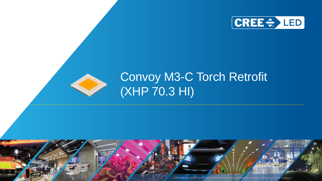



# Convoy M3-C Torch Retrofit (XHP 70.3 HI)



© 2021 Cree LED. All rights reserved. Cree® and the Cree logo are registered trademarks, and the Cree LED logo is a trademark , of Cree, Inc.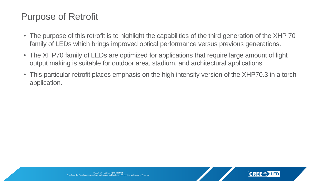### Purpose of Retrofit

- The purpose of this retrofit is to highlight the capabilities of the third generation of the XHP 70 family of LEDs which brings improved optical performance versus previous generations.
- The XHP70 family of LEDs are optimized for applications that require large amount of light output making is suitable for outdoor area, stadium, and architectural applications.
- This particular retrofit places emphasis on the high intensity version of the XHP70.3 in a torch application.

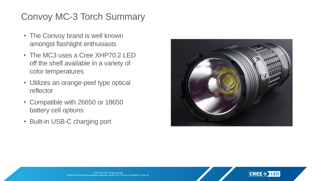# Convoy MC-3 Torch Summary

- The Convoy brand is well known amongst flashlight enthusiasts
- The MC3 uses a Cree XHP70.2 LED off the shelf available in a variety of color temperatures
- Utilizes an orange-peel type optical reflector
- Compatible with 26650 or 18650 battery cell options
- Built-in USB-C charging port



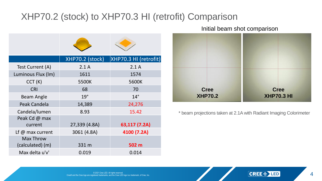### XHP70.2 (stock) to XHP70.3 HI (retrofit) Comparison

|                                      | XHP70.2 (stock) | XHP70.3 HI (retrofit) |
|--------------------------------------|-----------------|-----------------------|
| Test Current (A)                     | 2.1A            | 2.1A                  |
| Luminous Flux (Im)                   | 1611            | 1574                  |
| CCT(K)                               | 5500K           | 5600K                 |
| <b>CRI</b>                           | 68              | 70                    |
| <b>Beam Angle</b>                    | 19°             | $14^\circ$            |
| Peak Candela                         | 14,389          | 24,276                |
| Candela/lumen                        | 8.93            | 15.42                 |
| Peak Cd @ max<br>current             | 27,339 (4.8A)   | 63,117 (7.2A)         |
| Lf $@$ max current                   | 3061 (4.8A)     | 4100 (7.2A)           |
| <b>Max Throw</b><br>(calculated) (m) | 331 m           | 502 m                 |
| Max delta u'v'                       | 0.019           | 0.014                 |

Initial beam shot comparison



\* beam projections taken at 2.1A with Radiant Imaging Colorimeter

© 2021 Cree LED. All rights reserved. Cree® and the Cree logo are registered trademarks, and the Cree LED logo is a trademark, of Cree, Inc.

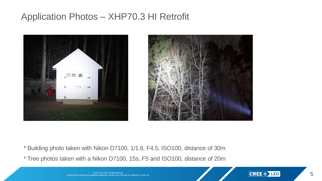#### Application Photos – XHP70.3 HI Retrofit





\* Building photo taken with Nikon D7100, 1/1.6, F4.5, ISO100, distance of 30m

\* Tree photos taken with a Nikon D7100, 15s, F5 and ISO100, distance of 20m

© 2021 Cree LED. All rights reserved. Cree® and the Cree logo are registered trademarks, and the Cree LED logo is a trademark, of Cree, Inc.

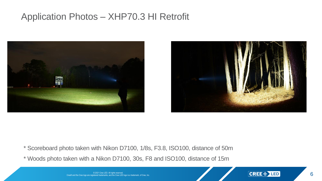#### Application Photos – XHP70.3 HI Retrofit





\* Scoreboard photo taken with Nikon D7100, 1/8s, F3.8, ISO100, distance of 50m

\* Woods photo taken with a Nikon D7100, 30s, F8 and ISO100, distance of 15m

© 2021 Cree LED. All rights reserved. Cree® and the Cree logo are registered trademarks, and the Cree LED logo is a trademark, of Cree, Inc.

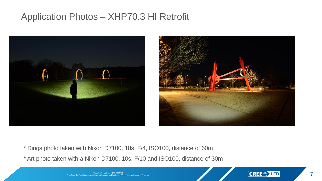#### Application Photos – XHP70.3 HI Retrofit





- \* Rings photo taken with Nikon D7100, 18s, F/4, ISO100, distance of 60m
- \* Art photo taken with a Nikon D7100, 10s, F/10 and ISO100, distance of 30m

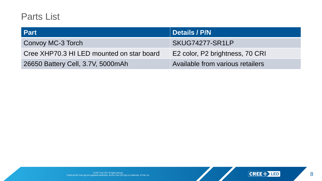#### Parts List

| <b>Part</b>                               | Details / P/N                    |
|-------------------------------------------|----------------------------------|
| <b>Convoy MC-3 Torch</b>                  | SKUG74277-SR1LP                  |
| Cree XHP70.3 HI LED mounted on star board | E2 color, P2 brightness, 70 CRI  |
| 26650 Battery Cell, 3.7V, 5000mAh         | Available from various retailers |

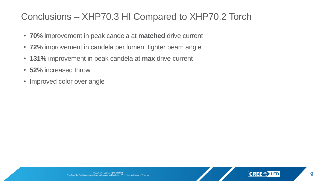## Conclusions – XHP70.3 HI Compared to XHP70.2 Torch

- **70%** improvement in peak candela at **matched** drive current
- **72%** improvement in candela per lumen, tighter beam angle
- **131%** improvement in peak candela at **max** drive current
- **52%** increased throw
- Improved color over angle